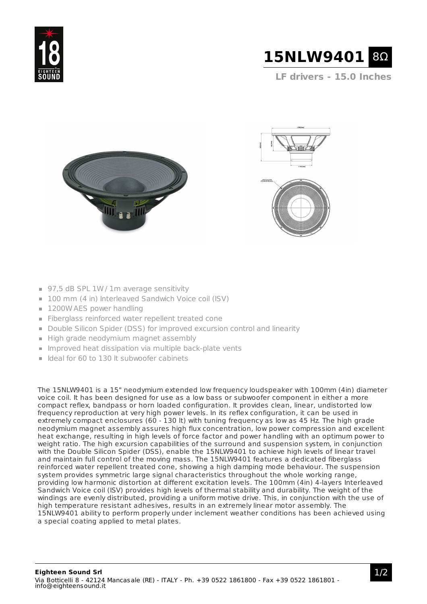



**LF drivers - 15.0 Inches**





- 97,5 dB SPL 1W / 1m average sensitivity
- 100 mm (4 in) Interleaved Sandwich Voice coil (ISV)
- 1200W AES power handling
- Fiberglass reinforced water repellent treated cone
- Double Silicon Spider (DSS) for improved excursion control and linearity
- High grade neodymium magnet assembly
- **Improved heat dissipation via multiple back-plate vents**
- $\blacksquare$  Ideal for 60 to 130 lt subwoofer cabinets

The 15NLW9401 is a 15" neodymium extended low frequency loudspeaker with 100mm (4in) diameter voice coil. It has been designed for use as a low bass or subwoofer component in either a more compact reflex, bandpass or horn loaded configuration. It provides clean, linear, undistorted low frequency reproduction at very high power levels. In its reflex configuration, it can be used in extremely compact enclosures (60 - 130 lt) with tuning frequency as low as 45 Hz. The high grade neodymium magnet assembly assures high flux concentration, low power compression and excellent heat exchange, resulting in high levels of force factor and power handling with an optimum power to weight ratio. The high excursion capabilities of the surround and suspension system, in conjunction with the Double Silicon Spider (DSS), enable the 15NLW9401 to achieve high levels of linear travel and maintain full control of the moving mass. The 15NLW9401 features a dedicated fiberglass reinforced water repellent treated cone, showing a high damping mode behaviour. The suspension system provides symmetric large signal characteristics throughout the whole working range, providing low harmonic distortion at different excitation levels. The 100mm (4in) 4-layers Interleaved Sandwich Voice coil (ISV) provides high levels of thermal stability and durability. The weight of the windings are evenly distributed, providing a uniform motive drive. This, in conjunction with the use of high temperature resistant adhesives, results in an extremely linear motor assembly. The 15NLW9401 ability to perform properly under inclement weather conditions has been achieved using a special coating applied to metal plates.